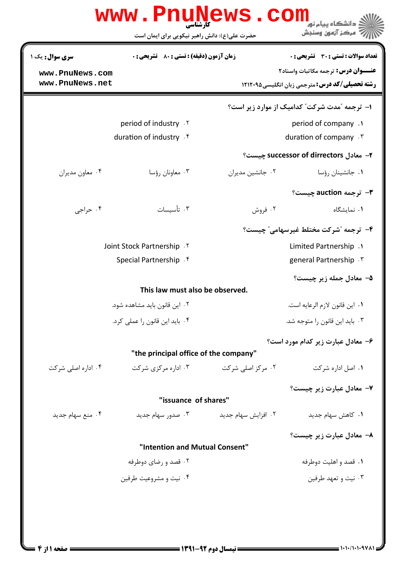| سری سوال : یک ۱    | <b>زمان آزمون (دقیقه) : تستی : 80 ٪ تشریحی : 0</b> |                                 | تعداد سوالات : تستي : 30 ٪ تشريحي : 0                 |  |
|--------------------|----------------------------------------------------|---------------------------------|-------------------------------------------------------|--|
| www.PnuNews.com    |                                                    |                                 | <b>عنـــوان درس:</b> ترجمه مکاتبات واسناد۲            |  |
| www.PnuNews.net    |                                                    |                                 | <b>رشته تحصیلی/کد درس: مترجمی زبان انگلیسی4۲۱۲۰۹۵</b> |  |
|                    |                                                    |                                 | ۱- ترجمه "مدت شرکت" کدامیک از موارد زیر است؟          |  |
|                    | period of industry . Y                             |                                 | period of company .                                   |  |
|                    | duration of industry . f                           |                                 | duration of company . T                               |  |
|                    |                                                    |                                 | ۲– معادل successor of dirrectors چیست؟                |  |
| ۰۴ معاون مديران    | ۰۳ معاونان رؤسا                                    | ۰۲ جانشین مدیران                | ۰۱ جانشینان رؤسا                                      |  |
|                    |                                                    |                                 | ۳- ترجمه auction چیست؟                                |  |
| ۰۴ حراجي           | ۰۳ تأسيسات                                         | ۰۲ فروش                         | ۰۱ نمایشگاه                                           |  |
|                    |                                                    |                                 | ۴- ترجمه "شركت مختلط غيرسهامي" چيست؟                  |  |
|                    | Joint Stock Partnership . Y                        |                                 | Limited Partnership .1                                |  |
|                    | Special Partnership . f                            |                                 | general Partnership . ٣                               |  |
|                    |                                                    |                                 | ۵– معادل جمله زير چيست؟                               |  |
|                    | This law must also be observed.                    |                                 |                                                       |  |
|                    | ۰۲ این قانون باید مشاهده شود.                      | ٠١. اين قانون لازم الرعايه است. |                                                       |  |
|                    | ۰۴ باید این قانون را عملی کرد.                     | ۰۳ باید این قانون را متوجه شد.  |                                                       |  |
|                    |                                                    |                                 | ۶- معادل عبارت زیر کدام مورد است؟                     |  |
|                    | "the principal office of the company"              |                                 |                                                       |  |
| ۰۴ اداره اصلی شرکت | ۰۳ اداره مرکزی شرکت                                | ۰۲ مرکز اصلی شرکت               | ۰۱ اصل اداره شرکت                                     |  |
|                    |                                                    |                                 | ٧- معادل عبارت زير چيست؟                              |  |
|                    | "issuance of shares"                               |                                 |                                                       |  |
| ۰۴ منع سهام جدید   | ۰۳ صدور سهام جدید                                  | ۰۲ افزایش سهام جدید             | ۰۱ کاهش سهام جدید                                     |  |
|                    |                                                    |                                 | ۸- معادل عبارت زیر چیست؟                              |  |
|                    | "Intention and Mutual Consent"                     |                                 |                                                       |  |
|                    | ۰۲ قصد و رضای دوطرفه                               |                                 | ۰۱ قصد و اهلیت دوطرفه                                 |  |
|                    | ۰۴ نیت و مشروعیت طرفین                             |                                 | ۰۳ نیت و تعهد طرفین                                   |  |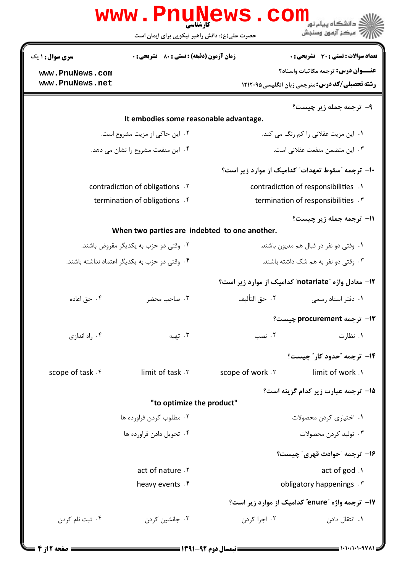|                        | <b>WWW.PNUNEWS</b><br>کارشناسی<br>حضرت علی(ع): دانش راهبر نیکویی برای ایمان است | COI                                  | دانشگاه پیام نور<br>بَ ۖ مرڪز آزمون وسنڊش                   |  |
|------------------------|---------------------------------------------------------------------------------|--------------------------------------|-------------------------------------------------------------|--|
| <b>سری سوال : ۱ یک</b> | <b>زمان آزمون (دقیقه) : تستی : 80 ٪ تشریحی : 0</b>                              |                                      | تعداد سوالات : تستى : 30 ٪ تشريحي : 0                       |  |
| www.PnuNews.com        |                                                                                 |                                      | <b>عنـــوان درس:</b> ترجمه مكاتبات واسناد٢                  |  |
| www.PnuNews.net        |                                                                                 |                                      | <b>رشته تحصیلی/کد درس:</b> مترجمی زبان انگلیسی451212 ۱۲۱۲۰۹ |  |
|                        |                                                                                 |                                      | ۹- ترجمه جمله زير چيست؟                                     |  |
|                        | It embodies some reasonable advantage.                                          |                                      |                                                             |  |
|                        | ۰۲ این حاکی از مزیت مشروع است.                                                  |                                      | ۰۱ این مزیت عقلانی را کم رنگ می کند.                        |  |
|                        | ۰۴ این منفعت مشروع را نشان می دهد.                                              |                                      | ٠٣ اين متضمن منفعت عقلاني است.                              |  |
|                        |                                                                                 |                                      | ۱۰– ترجمه "سقوط تعهدات" کدامیک از موارد زیر است؟            |  |
|                        | contradiction of obligations . Y                                                |                                      | contradiction of responsibilities .1                        |  |
|                        | termination of obligations . f                                                  |                                      | termination of responsibilities . \v.                       |  |
|                        |                                                                                 |                                      | 11- ترجمه جمله زير چيست؟                                    |  |
|                        | When two parties are indebted to one another.                                   |                                      |                                                             |  |
|                        | ۰۲ وقتی دو حزب به یکدیگر مقروض باشند.                                           |                                      | ۰۱ وقتی دو نفر در قبال هم مدیون باشند.                      |  |
|                        | ۰۴ وقتی دو حزب به یکدیگر اعتماد نداشته باشند.                                   | ۰۳ وقتی دو نفر به هم شک داشته باشند. |                                                             |  |
|                        |                                                                                 |                                      | ۱۲– معادل واژه "notariate" کدامیک از موارد زیر است؟         |  |
| ۰۴ حق اعاده            | ۰۳ صاحب محضر                                                                    | ٠٢ حق التأليف                        | ۰۱ دفتر اسناد رسمی                                          |  |
|                        |                                                                                 |                                      | 13- ترجمه procurement چیست؟                                 |  |
| اه اندازی $\cdot$ ۴    | ۰۳ تهیه                                                                         | ۰۲ نصب                               | ۰۱ نظارت                                                    |  |
|                        |                                                                                 |                                      | <b>۱۴</b> - ترجمه "حدود کار" چیست؟                          |  |
| scope of task f        | limit of task . \v                                                              | scope of work . Y                    | limit of work .1                                            |  |
|                        |                                                                                 |                                      | 15- ترجمه عبارت زیر کدام گزینه است؟                         |  |
|                        | "to optimize the product"                                                       |                                      |                                                             |  |
|                        | ۰۲ مطلوب کردن فراورده ها                                                        |                                      | ۰۱ اختیاری کردن محصولات                                     |  |
|                        | ۰۴ تحویل دادن فراورده ها                                                        |                                      | ۰۳ تولید کردن محصولات                                       |  |
|                        |                                                                                 |                                      | ۱۶- ترجمه "حوادث قهری" چیست؟                                |  |
|                        | act of nature . Y                                                               |                                      | act of god .                                                |  |
|                        | heavy events . f                                                                |                                      | obligatory happenings . r                                   |  |
|                        |                                                                                 |                                      | ۱۷- ترجمه واژه "enure" کدامیک از موارد زیر است؟             |  |
| ۰۴ ثبت نام کردن        | ۰۳ جانشین کردن                                                                  | ۰۲ اجرا کردن                         | ۰۱ انتقال دادن                                              |  |
|                        |                                                                                 |                                      |                                                             |  |

 $= 1.1 - (1.1.94)$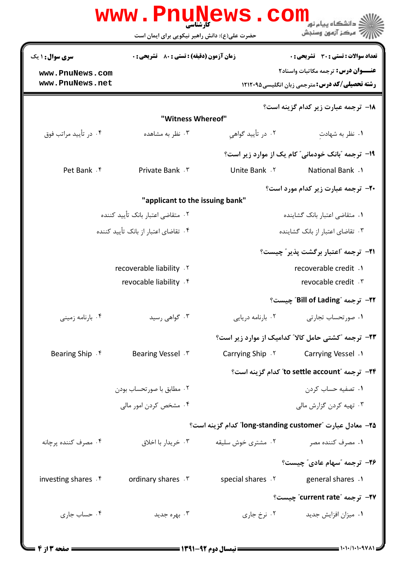|                        | <b>www.PnuNews</b>                              | <b>COIII</b>             | .<br>- دانشگاه بیام نور                                     |
|------------------------|-------------------------------------------------|--------------------------|-------------------------------------------------------------|
|                        | حضرت علی(ع): دانش راهبر نیکویی برای ایمان است   |                          | " مرڪز آزمون وسنڊش                                          |
| <b>سری سوال :</b> ۱ یک | <b>زمان آزمون (دقیقه) : تستی : 80 گشریحی: 0</b> |                          | تعداد سوالات : تستي : 30 ٪ تشريحي : 0                       |
| www.PnuNews.com        |                                                 |                          | <b>عنـــوان درس:</b> ترجمه مكاتبات واسناد٢                  |
| www.PnuNews.net        |                                                 |                          | <b>رشته تحصیلی/کد درس:</b> مترجمی زبان انگلیسی4۲۱۲۰۹۵       |
|                        | "Witness Whereof"                               |                          | <b>۱۸- ترجمه عبارت زیر کدام گزینه است؟</b>                  |
| ۰۴ در تأييد مراتب فوق  | ۰۳ نظر به مشاهده                                | ۰۲ در تأیید گواهی        | ۰۱ نظر به شهادت                                             |
|                        |                                                 |                          | ۱۹- ترجمه "بانک خودمانی" کام یک از موارد زیر است؟           |
| Pet Bank . f           | Private Bank . ٣                                | Unite Bank Y             | <b>National Bank</b> .1                                     |
|                        |                                                 |                          | <b>30- ترجمه عبارت زیر کدام مورد است؟</b>                   |
|                        | "applicant to the issuing bank"                 |                          |                                                             |
|                        | ۰۲ متقاضی اعتبار بانک تأیید کننده               |                          | ۰۱ متقاضی اعتبار بانک گشاینده                               |
|                        | ۰۴ تقاضای اعتبار از بانک تأیید کننده            |                          | ۰۳ تقاضای اعتبار از بانک گشاینده                            |
|                        |                                                 |                          | <b>٣-</b> ترجمه "اعتبار برگشت پذیر" چیست؟                   |
|                        | recoverable liability . Y                       |                          | recoverable credit .1                                       |
|                        | revocable liability . f                         |                          | revocable credit . \v                                       |
|                        |                                                 |                          | 7۲− ترجمه "Bill of Lading" چیست؟                            |
| ۰۴ بارنامه زمینی       | ۰۳ گواهی رسید                                   | ۰۲ بارنامه دریایی        | ۰۱ صورتحساب تجارتی                                          |
|                        |                                                 |                          | <b>۲۳</b> - ترجمه "کشتی حامل کالا" کدامیک از موارد زیر است؟ |
| Bearing Ship F         | Bearing Vessel . ٣                              | <b>Carrying Ship</b> . ٢ | Carrying Vessel .1                                          |
|                        |                                                 |                          | to settle account" کدام گزینه است؟                          |
|                        | ٠٢ مطابق با صورتحساب بودن                       |                          | ۰۱ تصفیه حساب کردن                                          |
|                        | ۰۴ مشخص کردن امور مالی                          |                          | ۰۳ تهیه کردن گزارش مالی                                     |
|                        |                                                 |                          | ۲۵– معادل عبارت "long-standing customer" کدام گزینه است؟    |
| ۰۴ مصرف کننده پرچانه   | ۰۳ خریدار با اخلاق                              | ۰۲ مشتری خوش سلیقه       | ۰۱ مصرف کننده مصر                                           |
|                        |                                                 |                          | ۲۶- ترجمه "سهام عادی" چیست؟                                 |
| investing shares f     | ordinary shares . \v                            | special shares .Y        | general shares .1                                           |
|                        |                                                 |                          | ٬۳۷– ترجمه ″current rate″ چیست؟                             |
| ۰۴ حساب جاری           | ۰۳ بهره جدید                                    | ۰۲ نرخ جاری              | ۰۱ میزان افزایش جدید                                        |
|                        |                                                 |                          |                                                             |